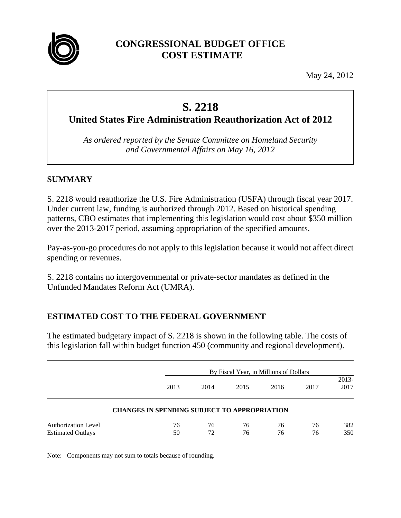

## **CONGRESSIONAL BUDGET OFFICE COST ESTIMATE**

May 24, 2012

# **S. 2218**

**United States Fire Administration Reauthorization Act of 2012** 

*As ordered reported by the Senate Committee on Homeland Security and Governmental Affairs on May 16, 2012* 

## **SUMMARY**

S. 2218 would reauthorize the U.S. Fire Administration (USFA) through fiscal year 2017. Under current law, funding is authorized through 2012. Based on historical spending patterns, CBO estimates that implementing this legislation would cost about \$350 million over the 2013-2017 period, assuming appropriation of the specified amounts.

Pay-as-you-go procedures do not apply to this legislation because it would not affect direct spending or revenues.

S. 2218 contains no intergovernmental or private-sector mandates as defined in the Unfunded Mandates Reform Act (UMRA).

## **ESTIMATED COST TO THE FEDERAL GOVERNMENT**

The estimated budgetary impact of S. 2218 is shown in the following table. The costs of this legislation fall within budget function 450 (community and regional development).

|                                                        |                                                     | By Fiscal Year, in Millions of Dollars |          |          |          |               |  |
|--------------------------------------------------------|-----------------------------------------------------|----------------------------------------|----------|----------|----------|---------------|--|
|                                                        | 2013                                                | 2014                                   | 2015     | 2016     | 2017     | 2013-<br>2017 |  |
|                                                        | <b>CHANGES IN SPENDING SUBJECT TO APPROPRIATION</b> |                                        |          |          |          |               |  |
| <b>Authorization Level</b><br><b>Estimated Outlays</b> | 76<br>50                                            | 76<br>72                               | 76<br>76 | 76<br>76 | 76<br>76 | 382<br>350    |  |

Note: Components may not sum to totals because of rounding.